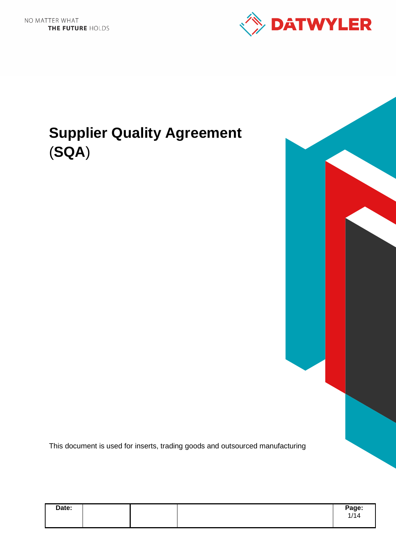

# **Supplier Quality Agreement**  (**SQA**)

This document is used for inserts, trading goods and outsourced manufacturing

| Date: |  | Page: |
|-------|--|-------|
|       |  | 1/14  |
|       |  |       |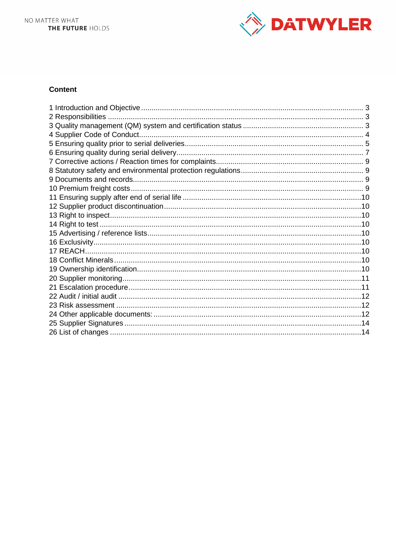

## **Content**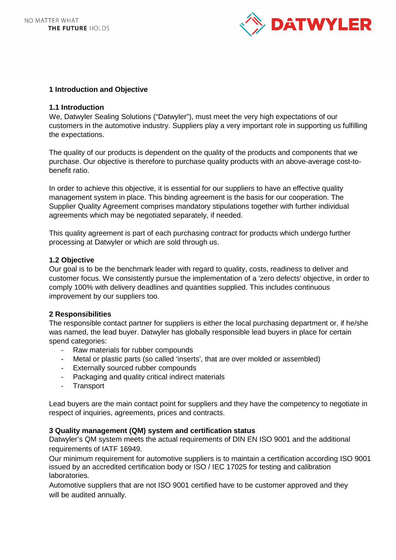

## **1 Introduction and Objective**

#### **1.1 Introduction**

We, Datwyler Sealing Solutions ("Datwyler"), must meet the very high expectations of our customers in the automotive industry. Suppliers play a very important role in supporting us fulfilling the expectations.

The quality of our products is dependent on the quality of the products and components that we purchase. Our objective is therefore to purchase quality products with an above-average cost-tobenefit ratio.

In order to achieve this objective, it is essential for our suppliers to have an effective quality management system in place. This binding agreement is the basis for our cooperation. The Supplier Quality Agreement comprises mandatory stipulations together with further individual agreements which may be negotiated separately, if needed.

This quality agreement is part of each purchasing contract for products which undergo further processing at Datwyler or which are sold through us.

#### **1.2 Objective**

Our goal is to be the benchmark leader with regard to quality, costs, readiness to deliver and customer focus. We consistently pursue the implementation of a 'zero defects' objective, in order to comply 100% with delivery deadlines and quantities supplied. This includes continuous improvement by our suppliers too.

#### **2 Responsibilities**

The responsible contact partner for suppliers is either the local purchasing department or, if he/she was named, the lead buyer. Datwyler has globally responsible lead buyers in place for certain spend categories:

- Raw materials for rubber compounds
- Metal or plastic parts (so called 'inserts', that are over molded or assembled)
- Externally sourced rubber compounds
- Packaging and quality critical indirect materials
- Transport

Lead buyers are the main contact point for suppliers and they have the competency to negotiate in respect of inquiries, agreements, prices and contracts.

#### **3 Quality management (QM) system and certification status**

Datwyler's QM system meets the actual requirements of DIN EN ISO 9001 and the additional requirements of IATF 16949.

Our minimum requirement for automotive suppliers is to maintain a certification according ISO 9001 issued by an accredited certification body or ISO / IEC 17025 for testing and calibration laboratories.

Automotive suppliers that are not ISO 9001 certified have to be customer approved and they will be audited annually.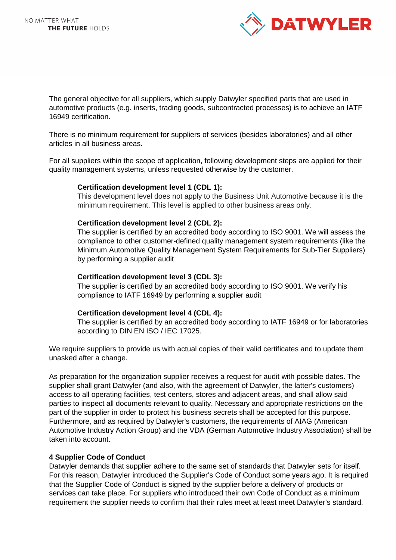

The general objective for all suppliers, which supply Datwyler specified parts that are used in automotive products (e.g. inserts, trading goods, subcontracted processes) is to achieve an IATF 16949 certification.

There is no minimum requirement for suppliers of services (besides laboratories) and all other articles in all business areas.

For all suppliers within the scope of application, following development steps are applied for their quality management systems, unless requested otherwise by the customer.

#### **Certification development level 1 (CDL 1):**

This development level does not apply to the Business Unit Automotive because it is the minimum requirement. This level is applied to other business areas only.

#### **Certification development level 2 (CDL 2):**

The supplier is certified by an accredited body according to ISO 9001. We will assess the compliance to other customer-defined quality management system requirements (like the Minimum Automotive Quality Management System Requirements for Sub-Tier Suppliers) by performing a supplier audit

#### **Certification development level 3 (CDL 3):**

The supplier is certified by an accredited body according to ISO 9001. We verify his compliance to IATF 16949 by performing a supplier audit

#### **Certification development level 4 (CDL 4):**

The supplier is certified by an accredited body according to IATF 16949 or for laboratories according to DIN EN ISO / IEC 17025.

We require suppliers to provide us with actual copies of their valid certificates and to update them unasked after a change.

As preparation for the organization supplier receives a request for audit with possible dates. The supplier shall grant Datwyler (and also, with the agreement of Datwyler, the latter's customers) access to all operating facilities, test centers, stores and adjacent areas, and shall allow said parties to inspect all documents relevant to quality. Necessary and appropriate restrictions on the part of the supplier in order to protect his business secrets shall be accepted for this purpose. Furthermore, and as required by Datwyler's customers, the requirements of AIAG (American Automotive Industry Action Group) and the VDA (German Automotive Industry Association) shall be taken into account.

## **4 Supplier Code of Conduct**

Datwyler demands that supplier adhere to the same set of standards that Datwyler sets for itself. For this reason, Datwyler introduced the Supplier's Code of Conduct some years ago. It is required that the Supplier Code of Conduct is signed by the supplier before a delivery of products or services can take place. For suppliers who introduced their own Code of Conduct as a minimum requirement the supplier needs to confirm that their rules meet at least meet Datwyler's standard.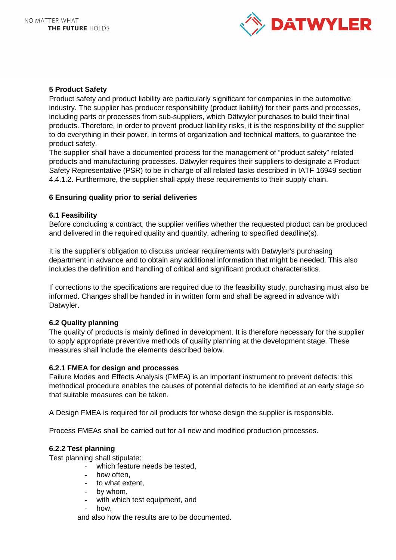

## **5 Product Safety**

Product safety and product liability are particularly significant for companies in the automotive industry. The supplier has producer responsibility (product liability) for their parts and processes, including parts or processes from sub-suppliers, which Dätwyler purchases to build their final products. Therefore, in order to prevent product liability risks, it is the responsibility of the supplier to do everything in their power, in terms of organization and technical matters, to guarantee the product safety.

The supplier shall have a documented process for the management of "product safety" related products and manufacturing processes. Dätwyler requires their suppliers to designate a Product Safety Representative (PSR) to be in charge of all related tasks described in IATF 16949 section 4.4.1.2. Furthermore, the supplier shall apply these requirements to their supply chain.

# **6 Ensuring quality prior to serial deliveries**

## **6.1 Feasibility**

Before concluding a contract, the supplier verifies whether the requested product can be produced and delivered in the required quality and quantity, adhering to specified deadline(s).

It is the supplier's obligation to discuss unclear requirements with Datwyler's purchasing department in advance and to obtain any additional information that might be needed. This also includes the definition and handling of critical and significant product characteristics.

If corrections to the specifications are required due to the feasibility study, purchasing must also be informed. Changes shall be handed in in written form and shall be agreed in advance with Datwyler.

## **6.2 Quality planning**

The quality of products is mainly defined in development. It is therefore necessary for the supplier to apply appropriate preventive methods of quality planning at the development stage. These measures shall include the elements described below.

## **6.2.1 FMEA for design and processes**

Failure Modes and Effects Analysis (FMEA) is an important instrument to prevent defects: this methodical procedure enables the causes of potential defects to be identified at an early stage so that suitable measures can be taken.

A Design FMEA is required for all products for whose design the supplier is responsible.

Process FMEAs shall be carried out for all new and modified production processes.

## **6.2.2 Test planning**

Test planning shall stipulate:

- which feature needs be tested,
- how often.
- to what extent,
- by whom,
- with which test equipment, and
- how.

and also how the results are to be documented.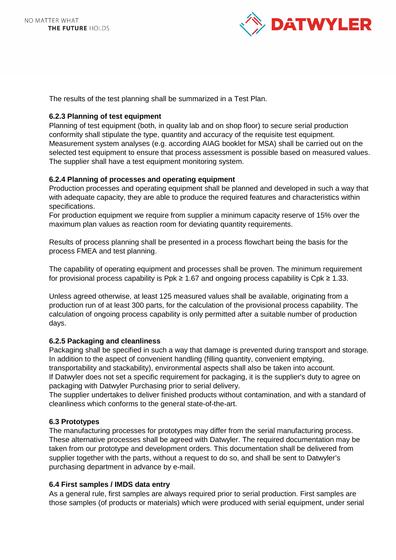

The results of the test planning shall be summarized in a Test Plan.

# **6.2.3 Planning of test equipment**

Planning of test equipment (both, in quality lab and on shop floor) to secure serial production conformity shall stipulate the type, quantity and accuracy of the requisite test equipment. Measurement system analyses (e.g. according AIAG booklet for MSA) shall be carried out on the selected test equipment to ensure that process assessment is possible based on measured values. The supplier shall have a test equipment monitoring system.

# **6.2.4 Planning of processes and operating equipment**

Production processes and operating equipment shall be planned and developed in such a way that with adequate capacity, they are able to produce the required features and characteristics within specifications.

For production equipment we require from supplier a minimum capacity reserve of 15% over the maximum plan values as reaction room for deviating quantity requirements.

Results of process planning shall be presented in a process flowchart being the basis for the process FMEA and test planning.

The capability of operating equipment and processes shall be proven. The minimum requirement for provisional process capability is Ppk  $\geq 1.67$  and ongoing process capability is Cpk  $\geq 1.33$ .

Unless agreed otherwise, at least 125 measured values shall be available, originating from a production run of at least 300 parts, for the calculation of the provisional process capability. The calculation of ongoing process capability is only permitted after a suitable number of production days.

## **6.2.5 Packaging and cleanliness**

Packaging shall be specified in such a way that damage is prevented during transport and storage. In addition to the aspect of convenient handling (filling quantity, convenient emptying, transportability and stackability), environmental aspects shall also be taken into account. If Datwyler does not set a specific requirement for packaging, it is the supplier's duty to agree on packaging with Datwyler Purchasing prior to serial delivery.

The supplier undertakes to deliver finished products without contamination, and with a standard of cleanliness which conforms to the general state-of-the-art.

## **6.3 Prototypes**

The manufacturing processes for prototypes may differ from the serial manufacturing process. These alternative processes shall be agreed with Datwyler. The required documentation may be taken from our prototype and development orders. This documentation shall be delivered from supplier together with the parts, without a request to do so, and shall be sent to Datwyler's purchasing department in advance by e-mail.

## **6.4 First samples / IMDS data entry**

As a general rule, first samples are always required prior to serial production. First samples are those samples (of products or materials) which were produced with serial equipment, under serial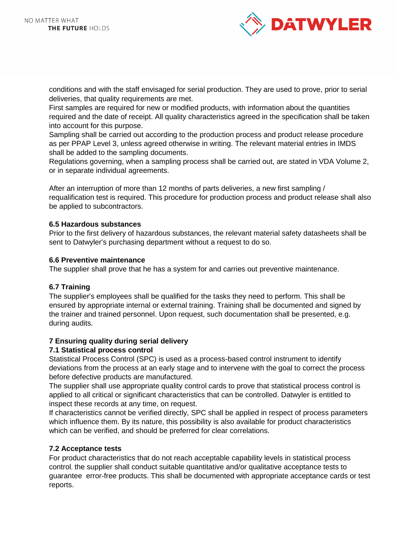

conditions and with the staff envisaged for serial production. They are used to prove, prior to serial deliveries, that quality requirements are met.

First samples are required for new or modified products, with information about the quantities required and the date of receipt. All quality characteristics agreed in the specification shall be taken into account for this purpose.

Sampling shall be carried out according to the production process and product release procedure as per PPAP Level 3, unless agreed otherwise in writing. The relevant material entries in IMDS shall be added to the sampling documents.

Regulations governing, when a sampling process shall be carried out, are stated in VDA Volume 2, or in separate individual agreements.

After an interruption of more than 12 months of parts deliveries, a new first sampling / requalification test is required. This procedure for production process and product release shall also be applied to subcontractors.

## **6.5 Hazardous substances**

Prior to the first delivery of hazardous substances, the relevant material safety datasheets shall be sent to Datwyler's purchasing department without a request to do so.

#### **6.6 Preventive maintenance**

The supplier shall prove that he has a system for and carries out preventive maintenance.

## **6.7 Training**

The supplier's employees shall be qualified for the tasks they need to perform. This shall be ensured by appropriate internal or external training. Training shall be documented and signed by the trainer and trained personnel. Upon request, such documentation shall be presented, e.g. during audits.

# **7 Ensuring quality during serial delivery**

## **7.1 Statistical process control**

Statistical Process Control (SPC) is used as a process-based control instrument to identify deviations from the process at an early stage and to intervene with the goal to correct the process before defective products are manufactured.

The supplier shall use appropriate quality control cards to prove that statistical process control is applied to all critical or significant characteristics that can be controlled. Datwyler is entitled to inspect these records at any time, on request.

If characteristics cannot be verified directly, SPC shall be applied in respect of process parameters which influence them. By its nature, this possibility is also available for product characteristics which can be verified, and should be preferred for clear correlations.

## **7.2 Acceptance tests**

For product characteristics that do not reach acceptable capability levels in statistical process control, the supplier shall conduct suitable quantitative and/or qualitative acceptance tests to guarantee error-free products. This shall be documented with appropriate acceptance cards or test reports.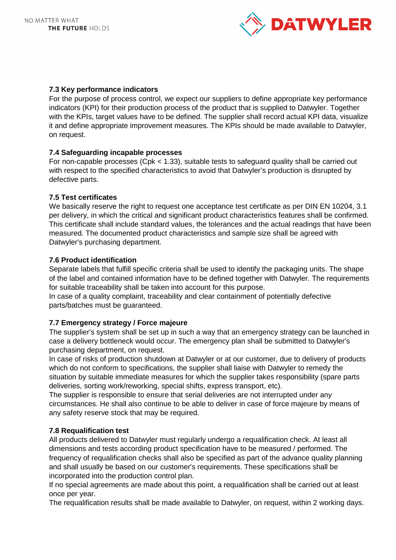

# **7.3 Key performance indicators**

For the purpose of process control, we expect our suppliers to define appropriate key performance indicators (KPI) for their production process of the product that is supplied to Datwyler. Together with the KPIs, target values have to be defined. The supplier shall record actual KPI data, visualize it and define appropriate improvement measures. The KPIs should be made available to Datwyler, on request.

# **7.4 Safeguarding incapable processes**

For non-capable processes (Cpk < 1.33), suitable tests to safeguard quality shall be carried out with respect to the specified characteristics to avoid that Datwyler's production is disrupted by defective parts.

# **7.5 Test certificates**

We basically reserve the right to request one acceptance test certificate as per DIN EN 10204, 3.1 per delivery, in which the critical and significant product characteristics features shall be confirmed. This certificate shall include standard values, the tolerances and the actual readings that have been measured. The documented product characteristics and sample size shall be agreed with Datwyler's purchasing department.

# **7.6 Product identification**

Separate labels that fulfill specific criteria shall be used to identify the packaging units. The shape of the label and contained information have to be defined together with Datwyler. The requirements for suitable traceability shall be taken into account for this purpose.

In case of a quality complaint, traceability and clear containment of potentially defective parts/batches must be guaranteed.

# **7.7 Emergency strategy / Force majeure**

The supplier's system shall be set up in such a way that an emergency strategy can be launched in case a delivery bottleneck would occur. The emergency plan shall be submitted to Datwyler's purchasing department, on request.

In case of risks of production shutdown at Datwyler or at our customer, due to delivery of products which do not conform to specifications, the supplier shall liaise with Datwyler to remedy the situation by suitable immediate measures for which the supplier takes responsibility (spare parts deliveries, sorting work/reworking, special shifts, express transport, etc).

The supplier is responsible to ensure that serial deliveries are not interrupted under any circumstances. He shall also continue to be able to deliver in case of force majeure by means of any safety reserve stock that may be required.

## **7.8 Requalification test**

All products delivered to Datwyler must regularly undergo a requalification check. At least all dimensions and tests according product specification have to be measured / performed. The frequency of requalification checks shall also be specified as part of the advance quality planning and shall usually be based on our customer's requirements. These specifications shall be incorporated into the production control plan.

If no special agreements are made about this point, a requalification shall be carried out at least once per year.

The requalification results shall be made available to Datwyler, on request, within 2 working days.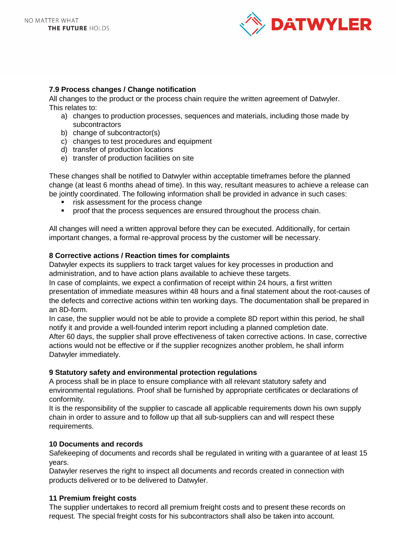

# **7.9 Process changes / Change notification**

All changes to the product or the process chain require the written agreement of Datwyler. This relates to:

- a) changes to production processes, sequences and materials, including those made by subcontractors
- b) change of subcontractor(s)
- c) changes to test procedures and equipment
- d) transfer of production locations
- e) transfer of production facilities on site

These changes shall be notified to Datwyler within acceptable timeframes before the planned change (at least 6 months ahead of time). In this way, resultant measures to achieve a release can be jointly coordinated. The following information shall be provided in advance in such cases:

- risk assessment for the process change
- **•** proof that the process sequences are ensured throughout the process chain.

All changes will need a written approval before they can be executed. Additionally, for certain important changes, a formal re-approval process by the customer will be necessary.

#### **8 Corrective actions / Reaction times for complaints**

Datwyler expects its suppliers to track target values for key processes in production and administration, and to have action plans available to achieve these targets.

In case of complaints, we expect a confirmation of receipt within 24 hours, a first written presentation of immediate measures within 48 hours and a final statement about the root-causes of the defects and corrective actions within ten working days. The documentation shall be prepared in an 8D-form.

In case, the supplier would not be able to provide a complete 8D report within this period, he shall notify it and provide a well-founded interim report including a planned completion date.

After 60 days, the supplier shall prove effectiveness of taken corrective actions. In case, corrective actions would not be effective or if the supplier recognizes another problem, he shall inform Datwyler immediately.

#### **9 Statutory safety and environmental protection regulations**

A process shall be in place to ensure compliance with all relevant statutory safety and environmental regulations. Proof shall be furnished by appropriate certificates or declarations of conformity.

It is the responsibility of the supplier to cascade all applicable requirements down his own supply chain in order to assure and to follow up that all sub-suppliers can and will respect these requirements.

#### **10 Documents and records**

Safekeeping of documents and records shall be regulated in writing with a guarantee of at least 15 years.

Datwyler reserves the right to inspect all documents and records created in connection with products delivered or to be delivered to Datwyler.

## **11 Premium freight costs**

The supplier undertakes to record all premium freight costs and to present these records on request. The special freight costs for his subcontractors shall also be taken into account.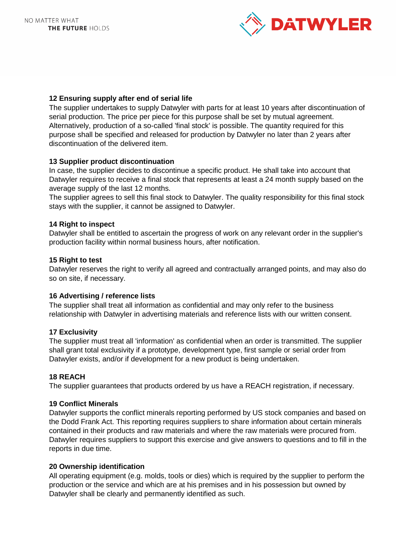

# **12 Ensuring supply after end of serial life**

The supplier undertakes to supply Datwyler with parts for at least 10 years after discontinuation of serial production. The price per piece for this purpose shall be set by mutual agreement. Alternatively, production of a so-called 'final stock' is possible. The quantity required for this purpose shall be specified and released for production by Datwyler no later than 2 years after discontinuation of the delivered item.

## **13 Supplier product discontinuation**

In case, the supplier decides to discontinue a specific product. He shall take into account that Datwyler requires to receive a final stock that represents at least a 24 month supply based on the average supply of the last 12 months.

The supplier agrees to sell this final stock to Datwyler. The quality responsibility for this final stock stays with the supplier, it cannot be assigned to Datwyler.

## **14 Right to inspect**

Datwyler shall be entitled to ascertain the progress of work on any relevant order in the supplier's production facility within normal business hours, after notification.

## **15 Right to test**

Datwyler reserves the right to verify all agreed and contractually arranged points, and may also do so on site, if necessary.

## **16 Advertising / reference lists**

The supplier shall treat all information as confidential and may only refer to the business relationship with Datwyler in advertising materials and reference lists with our written consent.

## **17 Exclusivity**

The supplier must treat all 'information' as confidential when an order is transmitted. The supplier shall grant total exclusivity if a prototype, development type, first sample or serial order from Datwyler exists, and/or if development for a new product is being undertaken.

## **18 REACH**

The supplier guarantees that products ordered by us have a REACH registration, if necessary.

#### **19 Conflict Minerals**

Datwyler supports the conflict minerals reporting performed by US stock companies and based on the Dodd Frank Act. This reporting requires suppliers to share information about certain minerals contained in their products and raw materials and where the raw materials were procured from. Datwyler requires suppliers to support this exercise and give answers to questions and to fill in the reports in due time.

## **20 Ownership identification**

All operating equipment (e.g. molds, tools or dies) which is required by the supplier to perform the production or the service and which are at his premises and in his possession but owned by Datwyler shall be clearly and permanently identified as such.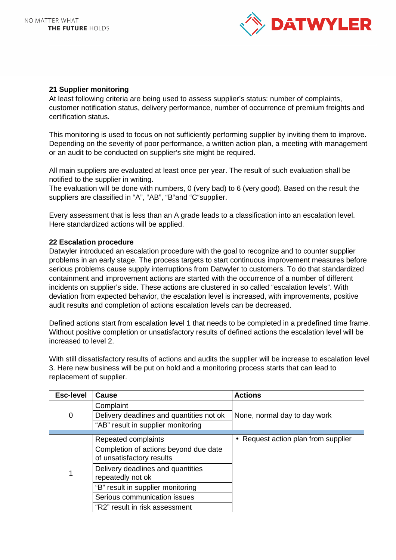

## **21 Supplier monitoring**

At least following criteria are being used to assess supplier's status: number of complaints, customer notification status, delivery performance, number of occurrence of premium freights and certification status.

This monitoring is used to focus on not sufficiently performing supplier by inviting them to improve. Depending on the severity of poor performance, a written action plan, a meeting with management or an audit to be conducted on supplier's site might be required.

All main suppliers are evaluated at least once per year. The result of such evaluation shall be notified to the supplier in writing.

The evaluation will be done with numbers, 0 (very bad) to 6 (very good). Based on the result the suppliers are classified in "A", "AB", "B"and "C"supplier.

Every assessment that is less than an A grade leads to a classification into an escalation level. Here standardized actions will be applied.

## **22 Escalation procedure**

Datwyler introduced an escalation procedure with the goal to recognize and to counter supplier problems in an early stage. The process targets to start continuous improvement measures before serious problems cause supply interruptions from Datwyler to customers. To do that standardized containment and improvement actions are started with the occurrence of a number of different incidents on supplier's side. These actions are clustered in so called "escalation levels". With deviation from expected behavior, the escalation level is increased, with improvements, positive audit results and completion of actions escalation levels can be decreased.

Defined actions start from escalation level 1 that needs to be completed in a predefined time frame. Without positive completion or unsatisfactory results of defined actions the escalation level will be increased to level 2.

With still dissatisfactory results of actions and audits the supplier will be increase to escalation level 3. Here new business will be put on hold and a monitoring process starts that can lead to replacement of supplier.

| <b>Esc-level</b> | Cause                                                              | <b>Actions</b>                      |  |
|------------------|--------------------------------------------------------------------|-------------------------------------|--|
|                  | Complaint                                                          |                                     |  |
| 0                | Delivery deadlines and quantities not ok                           | None, normal day to day work        |  |
|                  | "AB" result in supplier monitoring                                 |                                     |  |
|                  |                                                                    |                                     |  |
| 1                | Repeated complaints                                                | • Request action plan from supplier |  |
|                  | Completion of actions beyond due date<br>of unsatisfactory results |                                     |  |
|                  | Delivery deadlines and quantities                                  |                                     |  |
|                  | repeatedly not ok                                                  |                                     |  |
|                  | "B" result in supplier monitoring                                  |                                     |  |
|                  | Serious communication issues                                       |                                     |  |
|                  | "R2" result in risk assessment                                     |                                     |  |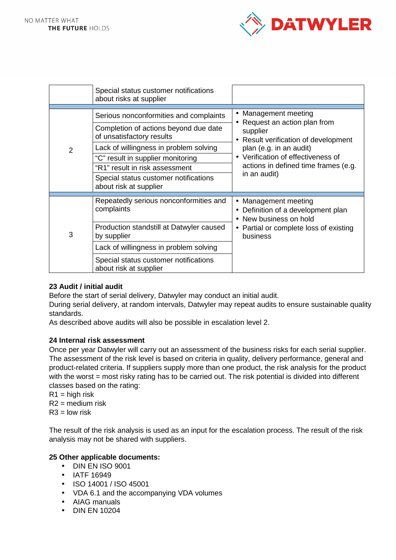

|                | Special status customer notifications<br>about risks at supplier                                                                                                                                                                                                                                 |                                                                                                                                                                                                                                |
|----------------|--------------------------------------------------------------------------------------------------------------------------------------------------------------------------------------------------------------------------------------------------------------------------------------------------|--------------------------------------------------------------------------------------------------------------------------------------------------------------------------------------------------------------------------------|
| $\overline{2}$ | Serious nonconformities and complaints<br>Completion of actions beyond due date<br>of unsatisfactory results<br>Lack of willingness in problem solving<br>"C" result in supplier monitoring<br>"R1" result in risk assessment<br>Special status customer notifications<br>about risk at supplier | • Management meeting<br>Request an action plan from<br>supplier<br>Result verification of development<br>plan (e.g. in an audit)<br>• Verification of effectiveness of<br>actions in defined time frames (e.g.<br>in an audit) |
| 3              | Repeatedly serious nonconformities and<br>complaints<br>Production standstill at Datwyler caused<br>by supplier<br>Lack of willingness in problem solving<br>Special status customer notifications<br>about risk at supplier                                                                     | Management meeting<br>$\bullet$<br>Definition of a development plan<br>New business on hold<br>• Partial or complete loss of existing<br>business                                                                              |

# **23 Audit / initial audit**

Before the start of serial delivery, Datwyler may conduct an initial audit.

During serial delivery, at random intervals, Datwyler may repeat audits to ensure sustainable quality standards.

As described above audits will also be possible in escalation level 2.

## **24 Internal risk assessment**

Once per year Datwyler will carry out an assessment of the business risks for each serial supplier. The assessment of the risk level is based on criteria in quality, delivery performance, general and product-related criteria. If suppliers supply more than one product, the risk analysis for the product with the worst = most risky rating has to be carried out. The risk potential is divided into different classes based on the rating:

 $R1$  = high risk

 $R2$  = medium risk

 $R3 =$ low risk

The result of the risk analysis is used as an input for the escalation process. The result of the risk analysis may not be shared with suppliers.

# **25 Other applicable documents:**

- DIN EN ISO 9001
- IATF 16949
- ISO 14001 / ISO 45001
- VDA 6.1 and the accompanying VDA volumes
- AIAG manuals
- DIN EN 10204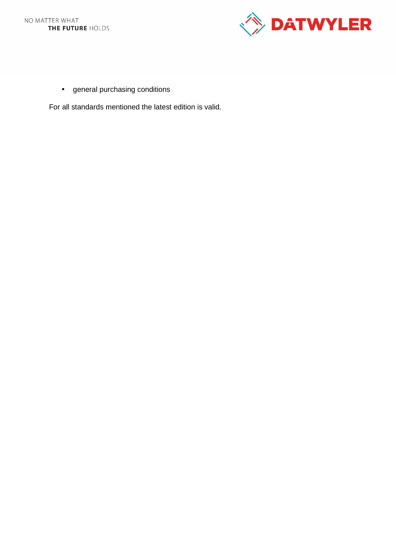

• general purchasing conditions

For all standards mentioned the latest edition is valid.